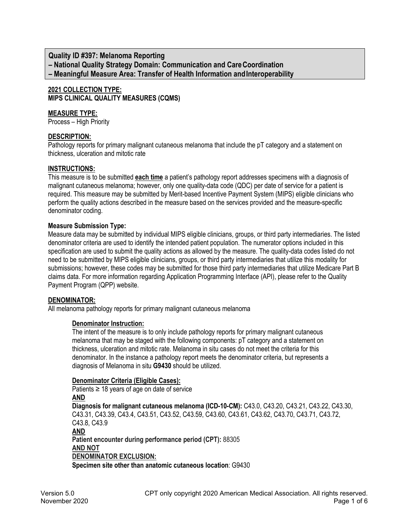**Quality ID #397: Melanoma Reporting – National Quality Strategy Domain: Communication and CareCoordination – Meaningful Measure Area: Transfer of Health Information andInteroperability**

**2021 COLLECTION TYPE: MIPS CLINICAL QUALITY MEASURES (CQMS)**

# **MEASURE TYPE:**

Process – High Priority

#### **DESCRIPTION:**

Pathology reports for primary malignant cutaneous melanoma that include the pT category and a statement on thickness, ulceration and mitotic rate

#### **INSTRUCTIONS:**

This measure is to be submitted **each time** a patient's pathology report addresses specimens with a diagnosis of malignant cutaneous melanoma; however, only one quality-data code (QDC) per date of service for a patient is required. This measure may be submitted by Merit-based Incentive Payment System (MIPS) eligible clinicians who perform the quality actions described in the measure based on the services provided and the measure-specific denominator coding.

## **Measure Submission Type:**

Measure data may be submitted by individual MIPS eligible clinicians, groups, or third party intermediaries. The listed denominator criteria are used to identify the intended patient population. The numerator options included in this specification are used to submit the quality actions as allowed by the measure. The quality-data codes listed do not need to be submitted by MIPS eligible clinicians, groups, or third party intermediaries that utilize this modality for submissions; however, these codes may be submitted for those third party intermediaries that utilize Medicare Part B claims data. For more information regarding Application Programming Interface (API), please refer to the Quality Payment Program (QPP) website.

# **DENOMINATOR:**

All melanoma pathology reports for primary malignant cutaneous melanoma

#### **Denominator Instruction:**

The intent of the measure is to only include pathology reports for primary malignant cutaneous melanoma that may be staged with the following components: pT category and a statement on thickness, ulceration and mitotic rate. Melanoma in situ cases do not meet the criteria for this denominator. In the instance a pathology report meets the denominator criteria, but represents a diagnosis of Melanoma in situ **G9430** should be utilized.

#### **Denominator Criteria (Eligible Cases):**

Patients  $\geq$  18 years of age on date of service **AND Diagnosis for malignant cutaneous melanoma (ICD-10-CM):** C43.0, C43.20, C43.21, C43.22, C43.30, C43.31, C43.39, C43.4, C43.51, C43.52, C43.59, C43.60, C43.61, C43.62, C43.70, C43.71, C43.72, C43.8, C43.9 **AND Patient encounter during performance period (CPT):** 88305 **AND NOT DENOMINATOR EXCLUSION: Specimen site other than anatomic cutaneous location**: G9430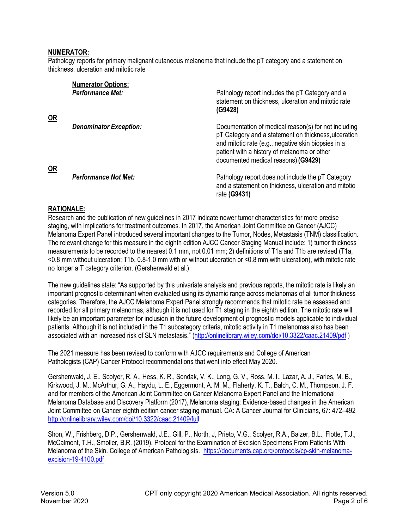### **NUMERATOR:**

Pathology reports for primary malignant cutaneous melanoma that include the pT category and a statement on thickness, ulceration and mitotic rate

|           | <b>Numerator Options:</b>     |                                                                                                                                                                                                                                                           |
|-----------|-------------------------------|-----------------------------------------------------------------------------------------------------------------------------------------------------------------------------------------------------------------------------------------------------------|
|           | <b>Performance Met:</b>       | Pathology report includes the pT Category and a<br>statement on thickness, ulceration and mitotic rate<br>(G9428)                                                                                                                                         |
| <u>OR</u> |                               |                                                                                                                                                                                                                                                           |
| <b>OR</b> | <b>Denominator Exception:</b> | Documentation of medical reason(s) for not including<br>pT Category and a statement on thickness, ulceration<br>and mitotic rate (e.g., negative skin biopsies in a<br>patient with a history of melanoma or other<br>documented medical reasons) (G9429) |
|           | <b>Performance Not Met:</b>   | Pathology report does not include the pT Category<br>and a statement on thickness, ulceration and mitotic<br>rate (G9431)                                                                                                                                 |

## **RATIONALE:**

Research and the publication of new guidelines in 2017 indicate newer tumor characteristics for more precise staging, with implications for treatment outcomes. In 2017, the American Joint Committee on Cancer (AJCC) Melanoma Expert Panel introduced several important changes to the Tumor, Nodes, Metastasis (TNM) classification. The relevant change for this measure in the eighth edition AJCC Cancer Staging Manual include: 1) tumor thickness measurements to be recorded to the nearest 0.1 mm, not 0.01 mm; 2) definitions of T1a and T1b are revised (T1a, <0.8 mm without ulceration; T1b, 0.8-1.0 mm with or without ulceration or <0.8 mm with ulceration), with mitotic rate no longer a T category criterion. (Gershenwald et al.)

The new guidelines state: "As supported by this univariate analysis and previous reports, the mitotic rate is likely an important prognostic determinant when evaluated using its dynamic range across melanomas of all tumor thickness categories. Therefore, the AJCC Melanoma Expert Panel strongly recommends that mitotic rate be assessed and recorded for all primary melanomas, although it is not used for T1 staging in the eighth edition. The mitotic rate will likely be an important parameter for inclusion in the future development of prognostic models applicable to individual patients. Although it is not included in the T1 subcategory criteria, mitotic activity in T1 melanomas also has been associated with an increased risk of SLN metastasis." (<http://onlinelibrary.wiley.com/doi/10.3322/caac.21409/pdf> )

The 2021 measure has been revised to conform with AJCC requirements and College of American Pathologists (CAP) Cancer Protocol recommendations that went into effect May 2020.

Gershenwald, J. E., Scolyer, R. A., Hess, K. R., Sondak, V. K., Long, G. V., Ross, M. I., Lazar, A. J., Faries, M. B., Kirkwood, J. M., McArthur, G. A., Haydu, L. E., Eggermont, A. M. M., Flaherty, K. T., Balch, C. M., Thompson, J. F. and for members of the American Joint Committee on Cancer Melanoma Expert Panel and the International Melanoma Database and Discovery Platform (2017), Melanoma staging: Evidence-based changes in the American Joint Committee on Cancer eighth edition cancer staging manual. CA: A Cancer Journal for Clinicians, 67: 472–492 [http://onlinelibrary.wiley.com/doi/10.3322/caac.21409/ful](http://onlinelibrary.wiley.com/doi/10.3322/caac.21409/full)l

Shon, W., Frishberg, D.P., Gershenwald, J.E., Gill, P., North, J, Prieto, V.G., Scolyer, R.A., Balzer, B.L., Flotte, T.J., McCalmont, T.H., Smoller, B.R. (2019). Protocol for the Examination of Excision Specimens From Patients With Melanoma of the Skin. College of American Pathologists. [https://documents.cap.org/protocols/cp-skin-melanoma](https://documents.cap.org/protocols/cp-skin-melanoma-excision-19-4100.pdf)[excision-](https://documents.cap.org/protocols/cp-skin-melanoma-excision-19-4100.pdf)19-4100.pdf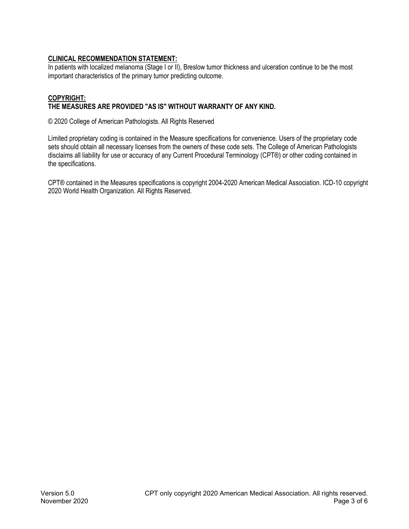# **CLINICAL RECOMMENDATION STATEMENT:**

In patients with localized melanoma (Stage I or II), Breslow tumor thickness and ulceration continue to be the most important characteristics of the primary tumor predicting outcome.

# **COPYRIGHT:**

# **THE MEASURES ARE PROVIDED "AS IS" WITHOUT WARRANTY OF ANY KIND.**

© 2020 College of American Pathologists. All Rights Reserved

Limited proprietary coding is contained in the Measure specifications for convenience. Users of the proprietary code sets should obtain all necessary licenses from the owners of these code sets. The College of American Pathologists disclaims all liability for use or accuracy of any Current Procedural Terminology (CPT®) or other coding contained in the specifications.

CPT® contained in the Measures specifications is copyright 2004-2020 American Medical Association. ICD-10 copyright 2020 World Health Organization. All Rights Reserved.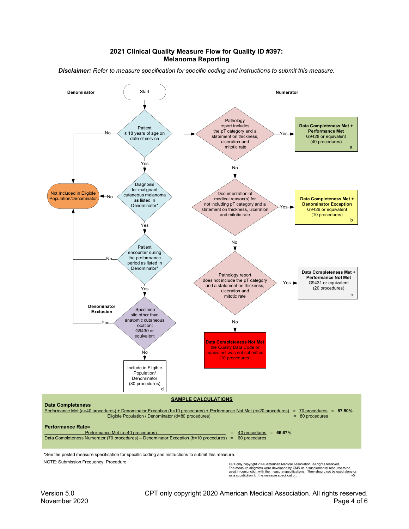#### **2021 Clinical Quality Measure Flow for Quality ID #397: Melanoma Reporting**

*Disclaimer: Refer to measure specification for specific coding and instructions to submit this measure.*



NOTE: Submission Frequency: Procedure

CPT only copyright 2020 American Medical Association. All rights reserved.<br>The measure diagrams were developed by CMS as a supplemental resource to be<br>used in conjunction with the measure specifications. They should not b as a substitution for the measure specification.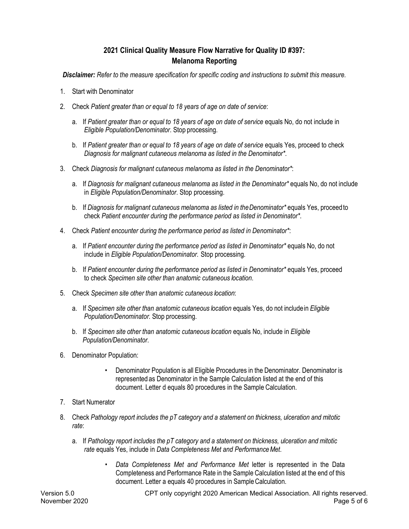# **2021 Clinical Quality Measure Flow Narrative for Quality ID #397: Melanoma Reporting**

*Disclaimer: Refer to the measure specification for specific coding and instructions to submit this measure.*

- 1. Start with Denominator
- 2. Check *Patient greater than or equal to 18 years of age on date of service*:
	- a. If *Patient greater than or equal to 18 years of age on date of service* equals No, do not include in *Eligible Population/Denominator*. Stop processing.
	- b. If *Patient greater than or equal to 18 years of age on date of service* equals Yes, proceed to check *Diagnosis for malignant cutaneous melanoma as listed in the Denominator\**.
- 3. Check *Diagnosis for malignant cutaneous melanoma as listed in the Denominator\**:
	- a. If *Diagnosis for malignant cutaneous melanoma as listed in the Denominator\** equals No, do not include in *Eligible Population/Denominator*. Stop processing.
	- b. If *Diagnosis for malignant cutaneous melanoma as listed in the Denominator\** equals Yes, proceed to check *Patient encounter during the performance period as listed in Denominator\**.
- 4. Check *Patient encounter during the performance period as listed in Denominator\**:
	- a. If *Patient encounter during the performance period as listed in Denominator\** equals No, do not include in *Eligible Population/Denominator*. Stop processing.
	- b. If *Patient encounter during the performance period as listed in Denominator\** equals Yes, proceed to check *Specimen site other than anatomic cutaneous location*.
- 5. Check *Specimen site other than anatomic cutaneous location*:
	- a. If *Specimen site other than anatomic cutaneous location* equals Yes, do not includein *Eligible Population/Denominator*. Stop processing.
	- b. If *Specimen site other than anatomic cutaneous location* equals No, include in *Eligible Population/Denominator*.
- 6. Denominator Population:
	- Denominator Population is all Eligible Procedures in the Denominator. Denominator is represented as Denominator in the Sample Calculation listed at the end of this document. Letter d equals 80 procedures in the Sample Calculation.
- 7. Start Numerator
- 8. Check *Pathology report includes the pT category and a statement on thickness, ulceration and mitotic rate*:
	- a. If *Pathology report includes the pT category and a statement on thickness, ulceration and mitotic rate* equals Yes, include in *Data Completeness Met and PerformanceMet*.
		- *Data Completeness Met and Performance Met* letter is represented in the Data Completeness and Performance Rate in the Sample Calculation listed at the end of this document. Letter a equals 40 procedures in Sample Calculation.